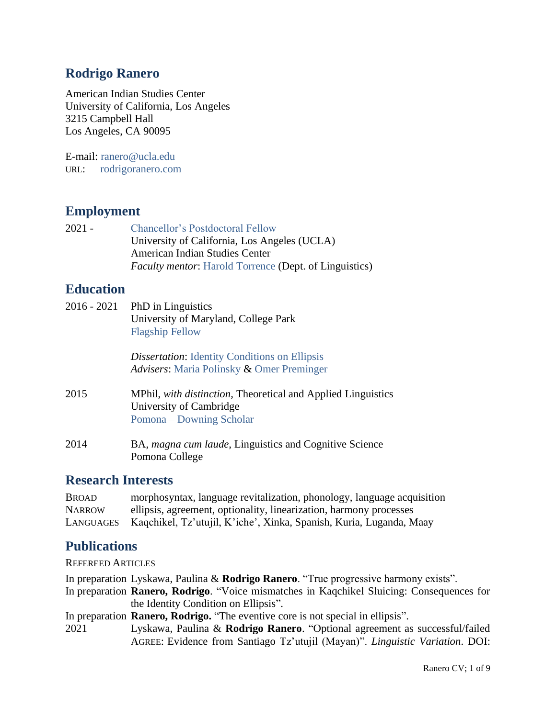## **Rodrigo Ranero**

American Indian Studies Center University of California, Los Angeles 3215 Campbell Hall Los Angeles, CA 90095

E-mail: ranero@ucla.edu URL: [rodrigoranero.com](https://rodrigoranero.com/) 

## **Employment**

2021 - [Chancellor's Postdoctoral Fellow](https://www.postdoc.ucla.edu/prospective-postdoctoral-scholars/chancellors-postdoctoral-fellowship-program/) University of California, Los Angeles (UCLA) American Indian Studies Center *Faculty mentor*: [Harold Torrence](https://linguistics.ucla.edu/person/harold-torrence/) (Dept. of Linguistics)

### **Education**

| 2016 - 2021 | PhD in Linguistics<br>University of Maryland, College Park<br><b>Flagship Fellow</b>                                |
|-------------|---------------------------------------------------------------------------------------------------------------------|
|             | <i>Dissertation:</i> Identity Conditions on Ellipsis<br>Advisers: Maria Polinsky & Omer Preminger                   |
| 2015        | MPhil, with distinction, Theoretical and Applied Linguistics<br>University of Cambridge<br>Pomona – Downing Scholar |
| 2014        | BA, magna cum laude, Linguistics and Cognitive Science<br>Pomona College                                            |

### **Research Interests**

| <b>BROAD</b>  | morphosyntax, language revitalization, phonology, language acquisition        |
|---------------|-------------------------------------------------------------------------------|
| <b>NARROW</b> | ellipsis, agreement, optionality, linearization, harmony processes            |
|               | LANGUAGES Kaqchikel, Tz'utujil, K'iche', Xinka, Spanish, Kuria, Luganda, Maay |

### **Publications**

REFEREED ARTICLES

In preparation Lyskawa, Paulina & **Rodrigo Ranero**. "True progressive harmony exists".

In preparation **Ranero, Rodrigo**. "Voice mismatches in Kaqchikel Sluicing: Consequences for the Identity Condition on Ellipsis".

In preparation **Ranero, Rodrigo.** "The eventive core is not special in ellipsis".

2021 Lyskawa, Paulina & **Rodrigo Ranero**. "Optional agreement as successful/failed AGREE: Evidence from Santiago Tz'utujil (Mayan)". *Linguistic Variation*. DOI: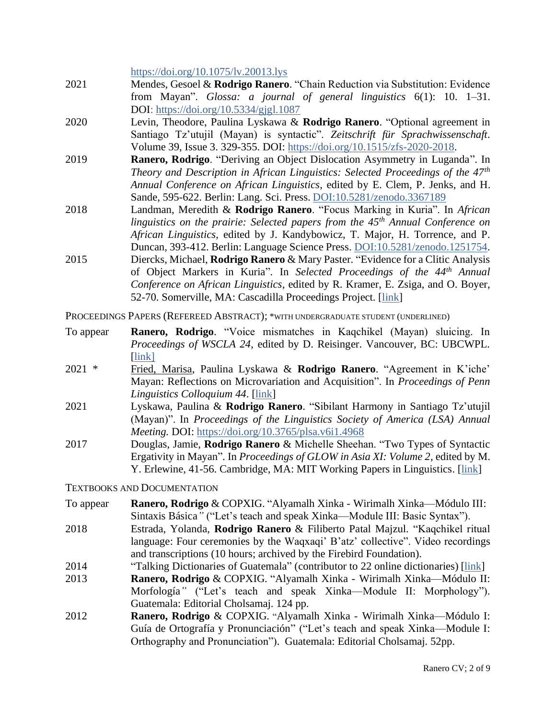<https://doi.org/10.1075/lv.20013.lys>

- 2021 Mendes, Gesoel & **Rodrigo Ranero**. "Chain Reduction via Substitution: Evidence from Mayan". *Glossa: a journal of general linguistics* 6(1): 10. 1–31. DOI: <https://doi.org/10.5334/gjgl.1087>
- 2020 Levin, Theodore, Paulina Lyskawa & **Rodrigo Ranero**. "Optional agreement in Santiago Tz'utujil (Mayan) is syntactic". *Zeitschrift für Sprachwissenschaft*. Volume 39, Issue 3. 329-355. DOI: [https://doi.org/10.1515/zfs-2020-2018.](https://doi.org/10.1515/zfs-2020-2018)
- 2019 **Ranero, Rodrigo**. "Deriving an Object Dislocation Asymmetry in Luganda". In *Theory and Description in African Linguistics: Selected Proceedings of the 47th Annual Conference on African Linguistics*, edited by E. Clem, P. Jenks, and H. Sande, 595-622. Berlin: Lang. Sci. Press. [DOI:10.5281/zenodo.3367189](http://dx.doi.org/10.5281/zenodo.3367189)
- 2018 Landman, Meredith & **Rodrigo Ranero**. "Focus Marking in Kuria". In *African linguistics on the prairie: Selected papers from the 45th Annual Conference on African Linguistics*, edited by J. Kandybowicz, T. Major, H. Torrence, and P. Duncan, 393-412. Berlin: Language Science Press. [DOI:10.5281/zenodo.1251754.](http://dx.doi.org/10.5281/zenodo.1251754)
- 2015 Diercks, Michael, **Rodrigo Ranero** & Mary Paster. "Evidence for a Clitic Analysis of Object Markers in Kuria". In *Selected Proceedings of the 44th Annual Conference on African Linguistics*, edited by R. Kramer, E. Zsiga, and O. Boyer, 52-70. Somerville, MA: Cascadilla Proceedings Project. [\[link\]](https://rodrigoranero.files.wordpress.com/2017/12/diercks-ranero-paster_2015.pdf)

PROCEEDINGS PAPERS (REFEREED ABSTRACT); \*WITH UNDERGRADUATE STUDENT (UNDERLINED)

- To appear **Ranero, Rodrigo**. "Voice mismatches in Kaqchikel (Mayan) sluicing. In *Proceedings of WSCLA 24*, edited by D. Reisinger. Vancouver, BC: UBCWPL. [\[link\]](https://ling.auf.net/lingbuzz/004865)
- 2021 \* Fried, Marisa, Paulina Lyskawa & **Rodrigo Ranero**. "Agreement in K'iche' Mayan: Reflections on Microvariation and Acquisition". In *Proceedings of Penn Linguistics Colloquium 44*. [\[link\]](https://repository.upenn.edu/pwpl/vol27/iss1/8/)
- 2021 Lyskawa, Paulina & **Rodrigo Ranero**. "Sibilant Harmony in Santiago Tz'utujil (Mayan)". In *Proceedings of the Linguistics Society of America (LSA) Annual Meeting.* DOI:<https://doi.org/10.3765/plsa.v6i1.4968>
- 2017 Douglas, Jamie, **Rodrigo Ranero** & Michelle Sheehan. "Two Types of Syntactic Ergativity in Mayan". In *Proceedings of GLOW in Asia XI: Volume 2,* edited by M. Y. Erlewine, 41-56. Cambridge, MA: MIT Working Papers in Linguistics. [\[link\]](https://rodrigoranero.files.wordpress.com/2018/06/douglas-ranero-sheehan-2017.pdf)

#### TEXTBOOKS AND DOCUMENTATION

- To appear **Ranero, Rodrigo** & COPXIG. "Alyamalh Xinka Wirimalh Xinka—Módulo III: Sintaxis Básica*"* ("Let's teach and speak Xinka—Module III: Basic Syntax").
- 2018 Estrada, Yolanda, **Rodrigo Ranero** & Filiberto Patal Majzul. "Kaqchikel ritual language: Four ceremonies by the Waqxaqi' B'atz' collective". Video recordings and transcriptions (10 hours; archived by the Firebird Foundation).
- 2014 "Talking Dictionaries of Guatemala" (contributor to 22 online dictionaries) [\[link\]](http://talkingdictionary.swarthmore.edu/guatemala.php)
- 2013 **Ranero, Rodrigo** & COPXIG. "Alyamalh Xinka Wirimalh Xinka—Módulo II: Morfología*"* ("Let's teach and speak Xinka—Module II: Morphology"). Guatemala: Editorial Cholsamaj. 124 pp.
- 2012 **Ranero, Rodrigo** & COPXIG. "Alyamalh Xinka Wirimalh Xinka—Módulo I: Guía de Ortografía y Pronunciación" ("Let's teach and speak Xinka—Module I: Orthography and Pronunciation"). Guatemala: Editorial Cholsamaj. 52pp.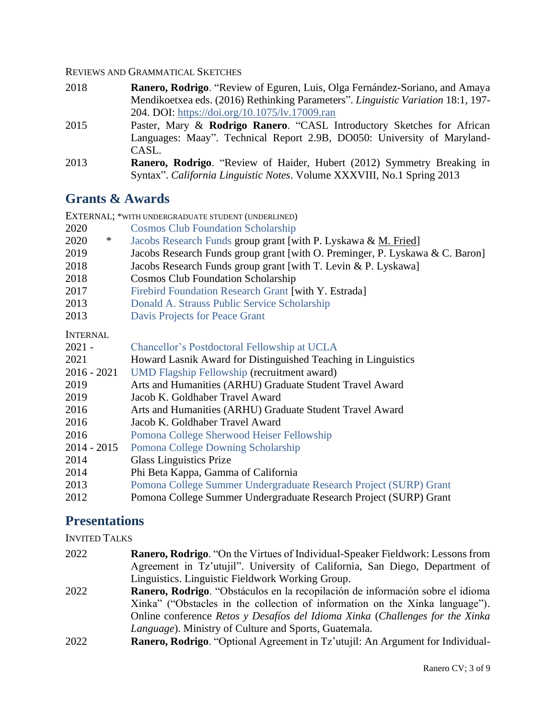#### REVIEWS AND GRAMMATICAL SKETCHES

- 2018 **Ranero, Rodrigo**. "Review of Eguren, Luis, Olga Fernández-Soriano, and Amaya Mendikoetxea eds. (2016) Rethinking Parameters". *Linguistic Variation* 18:1, 197- 204. DOI: <https://doi.org/10.1075/lv.17009.ran>
- 2015 Paster, Mary & **Rodrigo Ranero**. "CASL Introductory Sketches for African Languages: Maay". Technical Report 2.9B, DO050: University of Maryland-CASL.
- 2013 **Ranero, Rodrigo**. "Review of Haider, Hubert (2012) Symmetry Breaking in Syntax". *California Linguistic Notes*. Volume XXXVIII, No.1 Spring 2013

## **Grants & Awards**

| EXTERNAL; *WITH UNDERGRADUATE STUDENT (UNDERLINED) |                                                                              |
|----------------------------------------------------|------------------------------------------------------------------------------|
| 2020                                               | <b>Cosmos Club Foundation Scholarship</b>                                    |
| 2020<br>$\ast$                                     | Jacobs Research Funds group grant [with P. Lyskawa & M. Fried]               |
| 2019                                               | Jacobs Research Funds group grant [with O. Preminger, P. Lyskawa & C. Baron] |
| 2018                                               | Jacobs Research Funds group grant [with T. Levin & P. Lyskawa]               |
| 2018                                               | <b>Cosmos Club Foundation Scholarship</b>                                    |
| 2017                                               | Firebird Foundation Research Grant [with Y. Estrada]                         |
| 2013                                               | Donald A. Strauss Public Service Scholarship                                 |
| 2013                                               | Davis Projects for Peace Grant                                               |
| <b>INTERNAL</b>                                    |                                                                              |
| $2021 -$                                           | Chancellor's Postdoctoral Fellowship at UCLA                                 |
| 2021                                               | Howard Lasnik Award for Distinguished Teaching in Linguistics                |
| $2016 - 2021$                                      | <b>UMD Flagship Fellowship (recruitment award)</b>                           |
| 2019                                               | Arts and Humanities (ARHU) Graduate Student Travel Award                     |
| 2019                                               | Jacob K. Goldhaber Travel Award                                              |
| 2016                                               | Arts and Humanities (ARHU) Graduate Student Travel Award                     |
| 2016                                               | Jacob K. Goldhaber Travel Award                                              |
| 2016                                               | Pomona College Sherwood Heiser Fellowship                                    |
| $2014 - 2015$                                      | Pomona College Downing Scholarship                                           |
| 2014                                               | <b>Glass Linguistics Prize</b>                                               |
| 2014                                               | Phi Beta Kappa, Gamma of California                                          |
| 2013                                               | Pomona College Summer Undergraduate Research Project (SURP) Grant            |
| 2012                                               | Pomona College Summer Undergraduate Research Project (SURP) Grant            |

### **Presentations**

INVITED TALKS

- 2022 **Ranero, Rodrigo**. "On the Virtues of Individual-Speaker Fieldwork: Lessons from Agreement in Tz'utujil". University of California, San Diego, Department of Linguistics. Linguistic Fieldwork Working Group.
- 2022 **Ranero, Rodrigo**. "Obstáculos en la recopilación de información sobre el idioma Xinka" ("Obstacles in the collection of information on the Xinka language"). Online conference *Retos y Desafíos del Idioma Xinka* (*Challenges for the Xinka Language*). Ministry of Culture and Sports, Guatemala.
- 2022 **Ranero, Rodrigo**. "Optional Agreement in Tz'utujil: An Argument for Individual-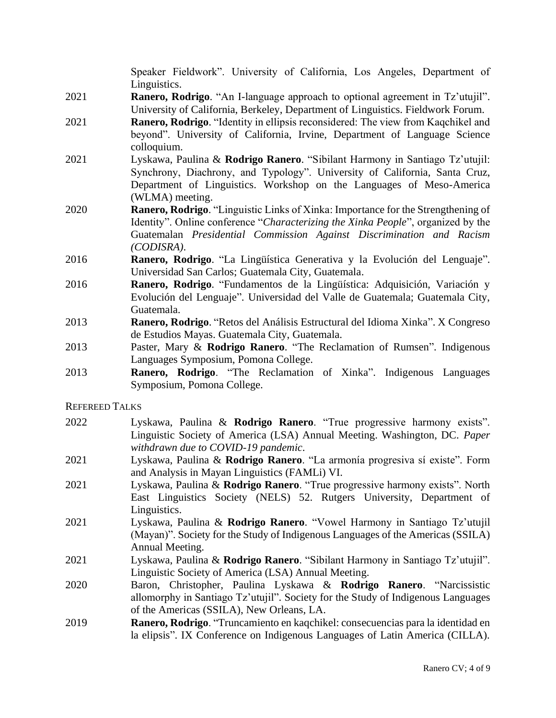Speaker Fieldwork". University of California, Los Angeles, Department of Linguistics.

- 2021 **Ranero, Rodrigo**. "An I-language approach to optional agreement in Tz'utujil". University of California, Berkeley, Department of Linguistics. Fieldwork Forum.
- 2021 **Ranero, Rodrigo**. "Identity in ellipsis reconsidered: The view from Kaqchikel and beyond". University of California, Irvine, Department of Language Science colloquium.
- 2021 Lyskawa, Paulina & **Rodrigo Ranero**. "Sibilant Harmony in Santiago Tz'utujil: Synchrony, Diachrony, and Typology". University of California, Santa Cruz, Department of Linguistics. Workshop on the Languages of Meso-America (WLMA) meeting.
- 2020 **Ranero, Rodrigo**. "Linguistic Links of Xinka: Importance for the Strengthening of Identity". Online conference "*Characterizing the Xinka People*", organized by the Guatemalan *Presidential Commission Against Discrimination and Racism (CODISRA)*.
- 2016 **Ranero, Rodrigo**. "La Lingüística Generativa y la Evolución del Lenguaje". Universidad San Carlos; Guatemala City, Guatemala.
- 2016 **Ranero, Rodrigo**. "Fundamentos de la Lingüística: Adquisición, Variación y Evolución del Lenguaje". Universidad del Valle de Guatemala; Guatemala City, Guatemala.
- 2013 **Ranero, Rodrigo**. "Retos del Análisis Estructural del Idioma Xinka". X Congreso de Estudios Mayas. Guatemala City, Guatemala.
- 2013 Paster, Mary & **Rodrigo Ranero**. "The Reclamation of Rumsen". Indigenous Languages Symposium, Pomona College.
- 2013 **Ranero, Rodrigo**. "The Reclamation of Xinka". Indigenous Languages Symposium, Pomona College.

REFEREED TALKS

- 2022 Lyskawa, Paulina & **Rodrigo Ranero**. "True progressive harmony exists". Linguistic Society of America (LSA) Annual Meeting. Washington, DC. *Paper withdrawn due to COVID-19 pandemic*.
- 2021 Lyskawa, Paulina & **Rodrigo Ranero**. "La armonía progresiva sí existe". Form and Analysis in Mayan Linguistics (FAMLi) VI.
- 2021 Lyskawa, Paulina & **Rodrigo Ranero**. "True progressive harmony exists". North East Linguistics Society (NELS) 52. Rutgers University, Department of Linguistics.
- 2021 Lyskawa, Paulina & **Rodrigo Ranero**. "Vowel Harmony in Santiago Tz'utujil (Mayan)". Society for the Study of Indigenous Languages of the Americas (SSILA) Annual Meeting.
- 2021 Lyskawa, Paulina & **Rodrigo Ranero**. "Sibilant Harmony in Santiago Tz'utujil". Linguistic Society of America (LSA) Annual Meeting.
- 2020 Baron, Christopher, Paulina Lyskawa & **Rodrigo Ranero**. "Narcissistic allomorphy in Santiago Tz'utujil". Society for the Study of Indigenous Languages of the Americas (SSILA), New Orleans, LA.
- 2019 **Ranero, Rodrigo**. "Truncamiento en kaqchikel: consecuencias para la identidad en la elipsis". IX Conference on Indigenous Languages of Latin America (CILLA).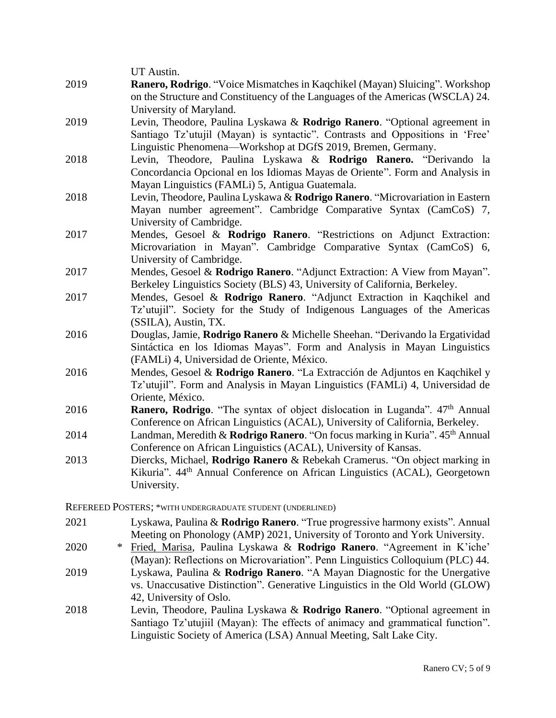|      | UT Austin.                                                                                           |
|------|------------------------------------------------------------------------------------------------------|
| 2019 | Ranero, Rodrigo. "Voice Mismatches in Kaqchikel (Mayan) Sluicing". Workshop                          |
|      | on the Structure and Constituency of the Languages of the Americas (WSCLA) 24.                       |
|      | University of Maryland.                                                                              |
| 2019 | Levin, Theodore, Paulina Lyskawa & Rodrigo Ranero. "Optional agreement in                            |
|      | Santiago Tz'utujil (Mayan) is syntactic". Contrasts and Oppositions in 'Free'                        |
|      | Linguistic Phenomena—Workshop at DGfS 2019, Bremen, Germany.                                         |
| 2018 | Levin, Theodore, Paulina Lyskawa & Rodrigo Ranero. "Derivando la                                     |
|      | Concordancia Opcional en los Idiomas Mayas de Oriente". Form and Analysis in                         |
|      | Mayan Linguistics (FAMLi) 5, Antigua Guatemala.                                                      |
| 2018 | Levin, Theodore, Paulina Lyskawa & Rodrigo Ranero. "Microvariation in Eastern                        |
|      | Mayan number agreement". Cambridge Comparative Syntax (CamCoS) 7,                                    |
|      | University of Cambridge.                                                                             |
| 2017 | Mendes, Gesoel & Rodrigo Ranero. "Restrictions on Adjunct Extraction:                                |
|      | Microvariation in Mayan". Cambridge Comparative Syntax (CamCoS) 6,                                   |
|      | University of Cambridge.                                                                             |
| 2017 | Mendes, Gesoel & Rodrigo Ranero. "Adjunct Extraction: A View from Mayan".                            |
|      | Berkeley Linguistics Society (BLS) 43, University of California, Berkeley.                           |
| 2017 | Mendes, Gesoel & Rodrigo Ranero. "Adjunct Extraction in Kaqchikel and                                |
|      | Tz'utujil". Society for the Study of Indigenous Languages of the Americas                            |
| 2016 | (SSILA), Austin, TX.<br>Douglas, Jamie, Rodrigo Ranero & Michelle Sheehan. "Derivando la Ergatividad |
|      | Sintáctica en los Idiomas Mayas". Form and Analysis in Mayan Linguistics                             |
|      | (FAMLi) 4, Universidad de Oriente, México.                                                           |
| 2016 | Mendes, Gesoel & Rodrigo Ranero. "La Extracción de Adjuntos en Kaqchikel y                           |
|      | Tz'utujil". Form and Analysis in Mayan Linguistics (FAMLi) 4, Universidad de                         |
|      | Oriente, México.                                                                                     |
| 2016 | <b>Ranero, Rodrigo.</b> "The syntax of object dislocation in Luganda". 47 <sup>th</sup> Annual       |
|      | Conference on African Linguistics (ACAL), University of California, Berkeley.                        |
| 2014 | Landman, Meredith & Rodrigo Ranero. "On focus marking in Kuria". 45 <sup>th</sup> Annual             |
|      | Conference on African Linguistics (ACAL), University of Kansas.                                      |
| 2013 | Diercks, Michael, Rodrigo Ranero & Rebekah Cramerus. "On object marking in                           |
|      | Kikuria". 44 <sup>th</sup> Annual Conference on African Linguistics (ACAL), Georgetown               |
|      | University.                                                                                          |
|      |                                                                                                      |
|      | REFEREED POSTERS; *WITH UNDERGRADUATE STUDENT (UNDERLINED)                                           |

- 2021 Lyskawa, Paulina & **Rodrigo Ranero**. "True progressive harmony exists". Annual Meeting on Phonology (AMP) 2021, University of Toronto and York University.
- 2020 \* Fried, Marisa, Paulina Lyskawa & **Rodrigo Ranero**. "Agreement in K'iche' (Mayan): Reflections on Microvariation". Penn Linguistics Colloquium (PLC) 44.
- 2019 Lyskawa, Paulina & **Rodrigo Ranero**. "A Mayan Diagnostic for the Unergative vs. Unaccusative Distinction". Generative Linguistics in the Old World (GLOW) 42, University of Oslo.
- 2018 Levin, Theodore, Paulina Lyskawa & **Rodrigo Ranero**. "Optional agreement in Santiago Tz'utujiil (Mayan): The effects of animacy and grammatical function". Linguistic Society of America (LSA) Annual Meeting, Salt Lake City.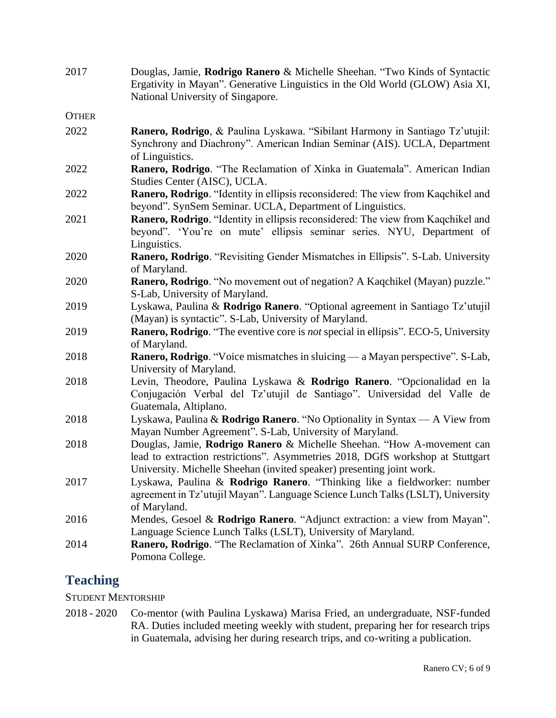| 2017         | Douglas, Jamie, Rodrigo Ranero & Michelle Sheehan. "Two Kinds of Syntactic<br>Ergativity in Mayan". Generative Linguistics in the Old World (GLOW) Asia XI,<br>National University of Singapore.                                  |
|--------------|-----------------------------------------------------------------------------------------------------------------------------------------------------------------------------------------------------------------------------------|
| <b>OTHER</b> |                                                                                                                                                                                                                                   |
| 2022         | Ranero, Rodrigo, & Paulina Lyskawa. "Sibilant Harmony in Santiago Tz'utujil:<br>Synchrony and Diachrony". American Indian Seminar (AIS). UCLA, Department<br>of Linguistics.                                                      |
| 2022         | Ranero, Rodrigo. "The Reclamation of Xinka in Guatemala". American Indian<br>Studies Center (AISC), UCLA.                                                                                                                         |
| 2022         | Ranero, Rodrigo. "Identity in ellipsis reconsidered: The view from Kaqchikel and<br>beyond". SynSem Seminar. UCLA, Department of Linguistics.                                                                                     |
| 2021         | Ranero, Rodrigo. "Identity in ellipsis reconsidered: The view from Kaqchikel and<br>beyond". 'You're on mute' ellipsis seminar series. NYU, Department of<br>Linguistics.                                                         |
| 2020         | Ranero, Rodrigo. "Revisiting Gender Mismatches in Ellipsis". S-Lab. University<br>of Maryland.                                                                                                                                    |
| 2020         | Ranero, Rodrigo. "No movement out of negation? A Kaqchikel (Mayan) puzzle."<br>S-Lab, University of Maryland.                                                                                                                     |
| 2019         | Lyskawa, Paulina & Rodrigo Ranero. "Optional agreement in Santiago Tz'utujil<br>(Mayan) is syntactic". S-Lab, University of Maryland.                                                                                             |
| 2019         | <b>Ranero, Rodrigo.</b> "The eventive core is <i>not</i> special in ellipsis". ECO-5, University<br>of Maryland.                                                                                                                  |
| 2018         | <b>Ranero, Rodrigo</b> . "Voice mismatches in sluicing — a Mayan perspective". S-Lab,<br>University of Maryland.                                                                                                                  |
| 2018         | Levin, Theodore, Paulina Lyskawa & Rodrigo Ranero. "Opcionalidad en la<br>Conjugación Verbal del Tz'utujil de Santiago". Universidad del Valle de<br>Guatemala, Altiplano.                                                        |
| 2018         | Lyskawa, Paulina & Rodrigo Ranero. "No Optionality in Syntax $- A$ View from<br>Mayan Number Agreement". S-Lab, University of Maryland.                                                                                           |
| 2018         | Douglas, Jamie, Rodrigo Ranero & Michelle Sheehan. "How A-movement can<br>lead to extraction restrictions". Asymmetries 2018, DGfS workshop at Stuttgart<br>University. Michelle Sheehan (invited speaker) presenting joint work. |
| 2017         | Lyskawa, Paulina & Rodrigo Ranero. "Thinking like a fieldworker: number<br>agreement in Tz'utujil Mayan". Language Science Lunch Talks (LSLT), University<br>of Maryland.                                                         |
| 2016         | Mendes, Gesoel & Rodrigo Ranero. "Adjunct extraction: a view from Mayan".<br>Language Science Lunch Talks (LSLT), University of Maryland.                                                                                         |
| 2014         | Ranero, Rodrigo. "The Reclamation of Xinka". 26th Annual SURP Conference,<br>Pomona College.                                                                                                                                      |

# **Teaching**

STUDENT MENTORSHIP

2018 - 2020 Co-mentor (with Paulina Lyskawa) Marisa Fried, an undergraduate, NSF-funded RA. Duties included meeting weekly with student, preparing her for research trips in Guatemala, advising her during research trips, and co-writing a publication.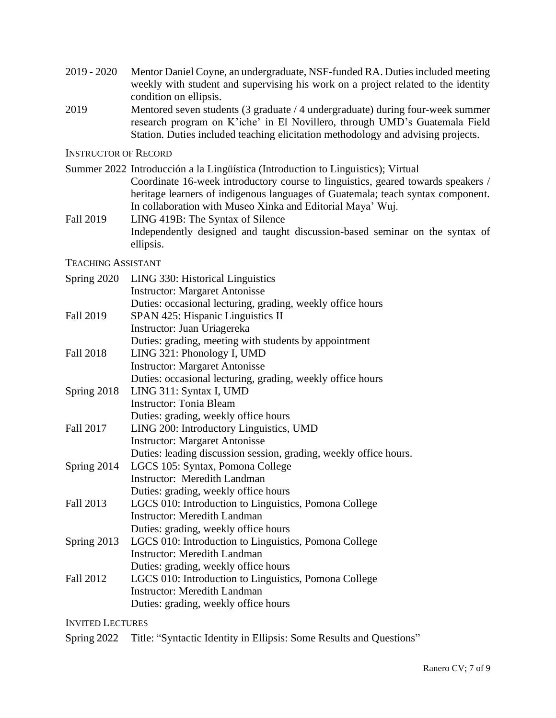- 2019 2020 Mentor Daniel Coyne, an undergraduate, NSF-funded RA. Duties included meeting weekly with student and supervising his work on a project related to the identity condition on ellipsis.
- 2019 Mentored seven students (3 graduate / 4 undergraduate) during four-week summer research program on K'iche' in El Novillero, through UMD's Guatemala Field Station. Duties included teaching elicitation methodology and advising projects.

INSTRUCTOR OF RECORD

- Summer 2022 Introducción a la Lingüística (Introduction to Linguistics); Virtual Coordinate 16-week introductory course to linguistics, geared towards speakers / heritage learners of indigenous languages of Guatemala; teach syntax component. In collaboration with Museo Xinka and Editorial Maya' Wuj.
- Fall 2019 LING 419B: The Syntax of Silence Independently designed and taught discussion-based seminar on the syntax of ellipsis.

TEACHING ASSISTANT

| Spring 2020      | LING 330: Historical Linguistics                                  |
|------------------|-------------------------------------------------------------------|
|                  | <b>Instructor: Margaret Antonisse</b>                             |
|                  | Duties: occasional lecturing, grading, weekly office hours        |
| Fall 2019        | SPAN 425: Hispanic Linguistics II                                 |
|                  | Instructor: Juan Uriagereka                                       |
|                  | Duties: grading, meeting with students by appointment             |
| <b>Fall 2018</b> | LING 321: Phonology I, UMD                                        |
|                  | <b>Instructor: Margaret Antonisse</b>                             |
|                  | Duties: occasional lecturing, grading, weekly office hours        |
| Spring 2018      | LING 311: Syntax I, UMD                                           |
|                  | <b>Instructor: Tonia Bleam</b>                                    |
|                  | Duties: grading, weekly office hours                              |
| Fall 2017        | LING 200: Introductory Linguistics, UMD                           |
|                  | <b>Instructor: Margaret Antonisse</b>                             |
|                  | Duties: leading discussion session, grading, weekly office hours. |
| Spring 2014      | LGCS 105: Syntax, Pomona College                                  |
|                  | <b>Instructor: Meredith Landman</b>                               |
|                  | Duties: grading, weekly office hours                              |
| Fall 2013        | LGCS 010: Introduction to Linguistics, Pomona College             |
|                  | <b>Instructor: Meredith Landman</b>                               |
|                  | Duties: grading, weekly office hours                              |
| Spring 2013      | LGCS 010: Introduction to Linguistics, Pomona College             |
|                  | <b>Instructor: Meredith Landman</b>                               |
|                  | Duties: grading, weekly office hours                              |
| Fall 2012        | LGCS 010: Introduction to Linguistics, Pomona College             |
|                  | <b>Instructor: Meredith Landman</b>                               |
|                  | Duties: grading, weekly office hours                              |

INVITED LECTURES

Spring 2022 Title: "Syntactic Identity in Ellipsis: Some Results and Questions"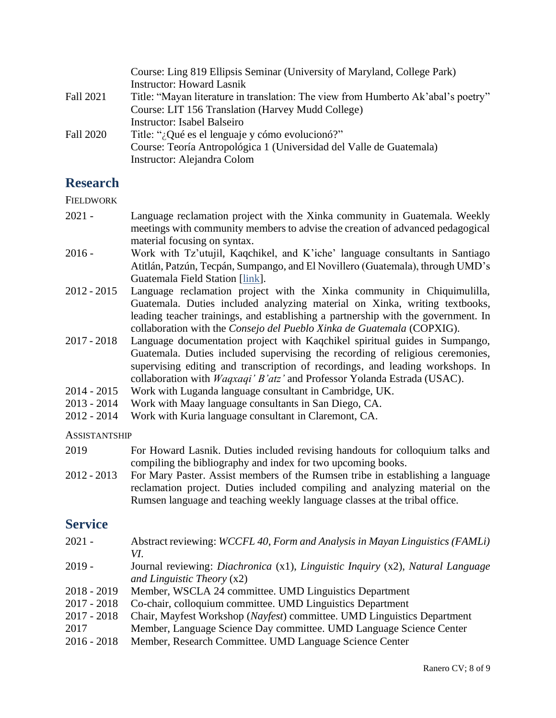|           | Course: Ling 819 Ellipsis Seminar (University of Maryland, College Park)          |
|-----------|-----------------------------------------------------------------------------------|
|           | <b>Instructor: Howard Lasnik</b>                                                  |
| Fall 2021 | Title: "Mayan literature in translation: The view from Humberto Ak'abal's poetry" |
|           | Course: LIT 156 Translation (Harvey Mudd College)                                 |
|           | <b>Instructor: Isabel Balseiro</b>                                                |
| Fall 2020 | Title: "¿Qué es el lenguaje y cómo evolucionó?"                                   |
|           | Course: Teoría Antropológica 1 (Universidad del Valle de Guatemala)               |
|           | Instructor: Alejandra Colom                                                       |

## **Research**

**FIELDWORK** 

- 2021 Language reclamation project with the Xinka community in Guatemala. Weekly meetings with community members to advise the creation of advanced pedagogical material focusing on syntax.
- 2016 Work with Tz'utujil, Kaqchikel, and K'iche' language consultants in Santiago Atitlán, Patzún, Tecpán, Sumpango, and El Novillero (Guatemala), through UMD's Guatemala Field Station [\[link\]](https://languagescience.umd.edu/beyond-umd/guatemala-field-station).
- 2012 2015 Language reclamation project with the Xinka community in Chiquimulilla, Guatemala. Duties included analyzing material on Xinka, writing textbooks, leading teacher trainings, and establishing a partnership with the government. In collaboration with the *Consejo del Pueblo Xinka de Guatemala* (COPXIG).
- 2017 2018 Language documentation project with Kaqchikel spiritual guides in Sumpango, Guatemala. Duties included supervising the recording of religious ceremonies, supervising editing and transcription of recordings, and leading workshops. In collaboration with *Waqxaqi' B'atz'* and Professor Yolanda Estrada (USAC).
- 2014 2015 Work with Luganda language consultant in Cambridge, UK.
- 2013 2014 Work with Maay language consultants in San Diego, CA.
- 2012 2014 Work with Kuria language consultant in Claremont, CA.

#### **ASSISTANTSHIP**

- 2019 For Howard Lasnik. Duties included revising handouts for colloquium talks and compiling the bibliography and index for two upcoming books.
- 2012 2013 For Mary Paster. Assist members of the Rumsen tribe in establishing a language reclamation project. Duties included compiling and analyzing material on the Rumsen language and teaching weekly language classes at the tribal office.

### **Service**

| $2021 -$      | Abstract reviewing: WCCFL 40, Form and Analysis in Mayan Linguistics (FAMLi)   |
|---------------|--------------------------------------------------------------------------------|
|               | VI.                                                                            |
| $2019 -$      | Journal reviewing: Diachronica (x1), Linguistic Inquiry (x2), Natural Language |
|               | and Linguistic Theory $(x2)$                                                   |
| $2018 - 2019$ | Member, WSCLA 24 committee. UMD Linguistics Department                         |
| $2017 - 2018$ | Co-chair, colloquium committee. UMD Linguistics Department                     |
| $2017 - 2018$ | Chair, Mayfest Workshop (Nayfest) committee. UMD Linguistics Department        |
| 2017          | Member, Language Science Day committee. UMD Language Science Center            |
| $2016 - 2018$ | Member, Research Committee. UMD Language Science Center                        |